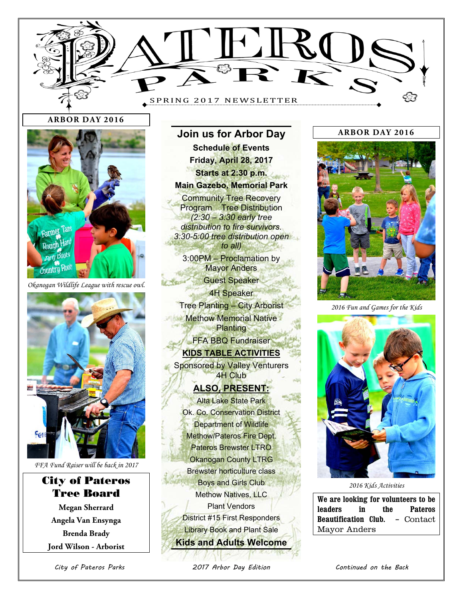

**Join us for Arbor Day** 

#### **ARBOR DAY 2016**



*Okanogan Wildlife League with rescue owl.* 



*FFA Fund Raiser will be back in 2017* 

# City of Pateros Tree Board

**Megan Sherrard Angela Van Ensynga Brenda Brady Jord Wilson - Arborist** 

**Schedule of Events Friday, April 28, 2017 Starts at 2:30 p.m. Main Gazebo, Memorial Park Community Tree Recovery** Program Tree Distribution *(2:30 – 3:30 early tree distribution to fire survivors. 3:30-5:00 tree distribution open to all)*  3:00PM – Proclamation by **Mayor Anders** Guest Speaker 4H Speaker Tree Planting – City Arborist Methow Memorial Native **Planting** FFA BBQ Fundraiser **KIDS TABLE ACTIVITIES Sponsored by Valley Venturers** 4H Club **ALSO, PRESENT:**  Alta Lake State Park Ok. Co. Conservation District Department of Wildlife Methow/Pateros Fire Dept. Pateros Brewster LTRO Okanogan County LTRG Brewster horticulture class Boys and Girls Club Methow Natives, LLC Plant Vendors

District #15 First Responders Library Book and Plant Sale **Kids and Adults Welcome**

#### **ARBOR DAY 2016**



*2016 Fun and Games for the Kids*



*2016 Kids Activities* 

**We are looking for volunteers to be leaders in the Pateros Beautification Club. –** Contact Mayor Anders

City of Pateros Parks 2017 Arbor Day Edition Continued on the Back